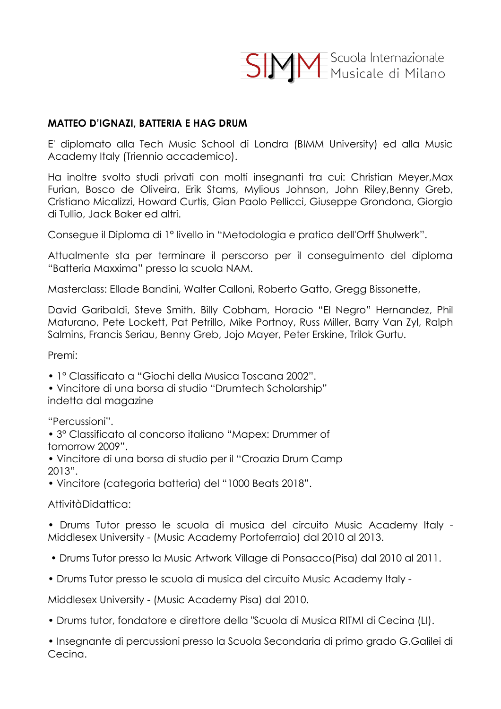**SIMM** Scuola Internazionale

### **MATTEO D'IGNAZI, BATTERIA E HAG DRUM**

E' diplomato alla Tech Music School di Londra (BIMM University) ed alla Music Academy Italy (Triennio accademico).

Ha inoltre svolto studi privati con molti insegnanti tra cui: Christian Meyer,Max Furian, Bosco de Oliveira, Erik Stams, Mylious Johnson, John Riley,Benny Greb, Cristiano Micalizzi, Howard Curtis, Gian Paolo Pellicci, Giuseppe Grondona, Giorgio di Tullio, Jack Baker ed altri.

Consegue il Diploma di 1° livello in "Metodologia e pratica dell'Orff Shulwerk".

Attualmente sta per terminare il perscorso per il conseguimento del diploma "Batteria Maxxima" presso la scuola NAM.

Masterclass: Ellade Bandini, Walter Calloni, Roberto Gatto, Gregg Bissonette,

David Garibaldi, Steve Smith, Billy Cobham, Horacio "El Negro" Hernandez, Phil Maturano, Pete Lockett, Pat Petrillo, Mike Portnoy, Russ Miller, Barry Van Zyl, Ralph Salmins, Francis Seriau, Benny Greb, Jojo Mayer, Peter Erskine, Trilok Gurtu.

Premi:

• 1° Classificato a "Giochi della Musica Toscana 2002".

• Vincitore di una borsa di studio "Drumtech Scholarship" indetta dal magazine

"Percussioni".

• 3° Classificato al concorso italiano "Mapex: Drummer of tomorrow 2009".

• Vincitore di una borsa di studio per il "Croazia Drum Camp 2013".

• Vincitore (categoria batteria) del "1000 Beats 2018".

Attività Didattica:

• Drums Tutor presso le scuola di musica del circuito Music Academy Italy - Middlesex University - (Music Academy Portoferraio) dal 2010 al 2013.

- Drums Tutor presso la Music Artwork Village di Ponsacco(Pisa) dal 2010 al 2011.
- Drums Tutor presso le scuola di musica del circuito Music Academy Italy -

Middlesex University - (Music Academy Pisa) dal 2010.

• Drums tutor, fondatore e direttore della "Scuola di Musica RITMI di Cecina (LI).

• Insegnante di percussioni presso la Scuola Secondaria di primo grado G.Galilei di Cecina.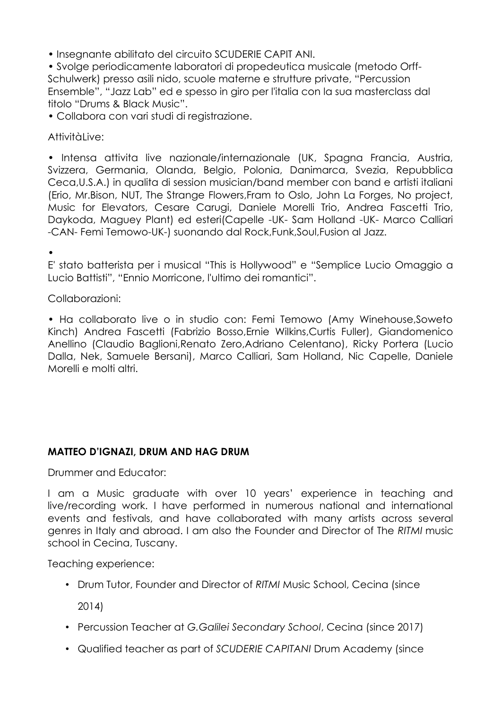• Insegnante abilitato del circuito SCUDERIE CAPIT ANI.

• Svolge periodicamente laboratori di propedeutica musicale (metodo Orff-Schulwerk) presso asili nido, scuole materne e strutture private, "Percussion Ensemble", "Jazz Lab" ed e spesso in giro per l'italia con la sua masterclass dal titolo "Drums & Black Music".

• Collabora con vari studi di registrazione.

Attivitàlive:

• Intensa attivita live nazionale/internazionale (UK, Spagna Francia, Austria, Svizzera, Germania, Olanda, Belgio, Polonia, Danimarca, Svezia, Repubblica Ceca,U.S.A.) in qualita di session musician/band member con band e artisti italiani (Erio, Mr.Bison, NUT, The Strange Flowers,Fram to Oslo, John La Forges, No project, Music for Elevators, Cesare Carugi, Daniele Morelli Trio, Andrea Fascetti Trio, Daykoda, Maguey Plant) ed esteri(Capelle -UK- Sam Holland -UK- Marco Calliari -CAN- Femi Temowo-UK-) suonando dal Rock,Funk,Soul,Fusion al Jazz.

•

E' stato batterista per i musical "This is Hollywood" e "Semplice Lucio Omaggio a Lucio Battisti", "Ennio Morricone, l'ultimo dei romantici".

Collaborazioni:

• Ha collaborato live o in studio con: Femi Temowo (Amy Winehouse,Soweto Kinch) Andrea Fascetti (Fabrizio Bosso,Ernie Wilkins,Curtis Fuller), Giandomenico Anellino (Claudio Baglioni,Renato Zero,Adriano Celentano), Ricky Portera (Lucio Dalla, Nek, Samuele Bersani), Marco Calliari, Sam Holland, Nic Capelle, Daniele Morelli e molti altri.

# **MATTEO D'IGNAZI, DRUM AND HAG DRUM**

Drummer and Educator:

I am a Music graduate with over 10 years' experience in teaching and live/recording work. I have performed in numerous national and international events and festivals, and have collaborated with many artists across several genres in Italy and abroad. I am also the Founder and Director of The *RITMI* music school in Cecina, Tuscany.

Teaching experience:

• Drum Tutor, Founder and Director of *RITMI* Music School, Cecina (since

2014)

- Percussion Teacher at *G.Galilei Secondary School*, Cecina (since 2017)
- Qualified teacher as part of *SCUDERIE CAPITANI* Drum Academy (since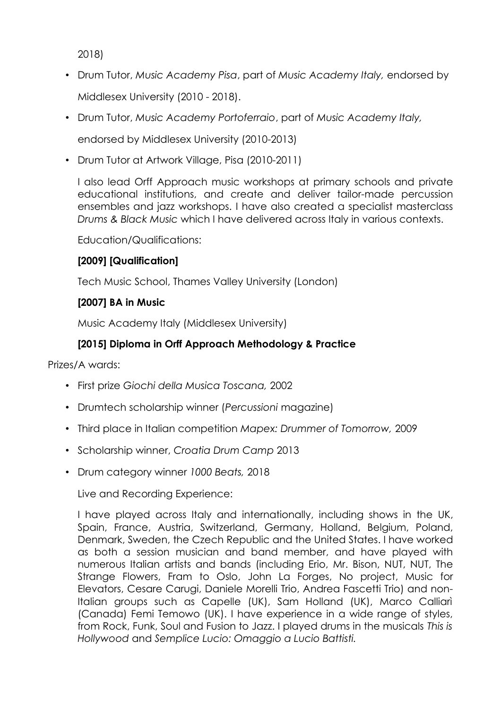2018)

- Drum Tutor, *Music Academy Pisa*, part of *Music Academy Italy,* endorsed by Middlesex University (2010 - 2018).
- Drum Tutor, *Music Academy Portoferraio*, part of *Music Academy Italy,*

endorsed by Middlesex University (2010-2013)

• Drum Tutor at Artwork Village, Pisa (2010-2011)

I also lead Orff Approach music workshops at primary schools and private educational institutions, and create and deliver tailor-made percussion ensembles and jazz workshops. I have also created a specialist masterclass *Drums & Black Music* which I have delivered across Italy in various contexts.

Education/Qualifications:

## **[2009] [Qualification]**

Tech Music School, Thames Valley University (London)

## **[2007] BA in Music**

Music Academy Italy (Middlesex University)

# **[2015] Diploma in Orff Approach Methodology & Practice**

Prizes/A wards:

- First prize *Giochi della Musica Toscana,* 2002
- Drumtech scholarship winner (*Percussioni* magazine)
- Third place in Italian competition *Mapex: Drummer of Tomorrow,* 2009
- Scholarship winner, *Croatia Drum Camp* 2013
- Drum category winner *1000 Beats,* 2018

Live and Recording Experience:

I have played across Italy and internationally, including shows in the UK, Spain, France, Austria, Switzerland, Germany, Holland, Belgium, Poland, Denmark, Sweden, the Czech Republic and the United States. I have worked as both a session musician and band member, and have played with numerous Italian artists and bands (including Erio, Mr. Bison, NUT, NUT, The Strange Flowers, Fram to Oslo, John La Forges, No project, Music for Elevators, Cesare Carugi, Daniele Morelli Trio, Andrea Fascetti Trio) and non-Italian groups such as Capelle (UK), Sam Holland (UK), Marco Calliari (Canada) Femi Temowo (UK). I have experience in a wide range of styles, from Rock, Funk, Soul and Fusion to Jazz. I played drums in the musicals *This is Hollywood* and *Semplice Lucio: Omaggio a Lucio Battisti.*